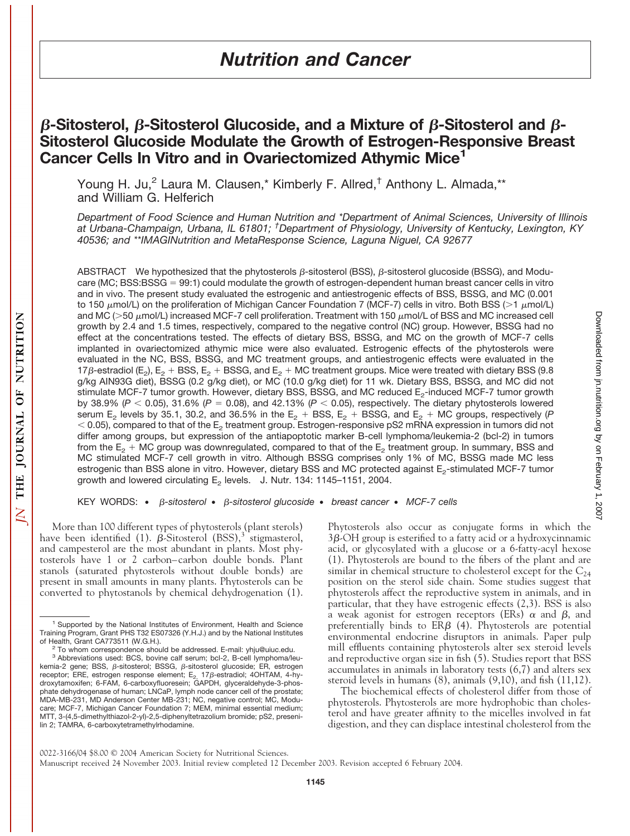# **β-Sitosterol, β-Sitosterol Glucoside, and a Mixture of β-Sitosterol and β-Sitosterol Glucoside Modulate the Growth of Estrogen-Responsive Breast Cancer Cells In Vitro and in Ovariectomized Athymic Mice1**

Young H. Ju,<sup>2</sup> Laura M. Clausen,\* Kimberly F. Allred,<sup>†</sup> Anthony L. Almada,\*\* and William G. Helferich

*Department of Food Science and Human Nutrition and \*Department of Animal Sciences, University of Illinois at Urbana-Champaign, Urbana, IL 61801; † Department of Physiology, University of Kentucky, Lexington, KY 40536; and \*\*IMAGINutrition and MetaResponse Science, Laguna Niguel, CA 92677*

ABSTRACT We hypothesized that the phytosterols  $\beta$ -sitosterol (BSS),  $\beta$ -sitosterol glucoside (BSSG), and Moducare (MC; BSS:BSSG = 99:1) could modulate the growth of estrogen-dependent human breast cancer cells in vitro and in vivo. The present study evaluated the estrogenic and antiestrogenic effects of BSS, BSSG, and MC (0.001 to 150  $\mu$ mol/L) on the proliferation of Michigan Cancer Foundation 7 (MCF-7) cells in vitro. Both BSS (>1  $\mu$ mol/L) and MC (>50  $\mu$ mol/L) increased MCF-7 cell proliferation. Treatment with 150  $\mu$ mol/L of BSS and MC increased cell growth by 2.4 and 1.5 times, respectively, compared to the negative control (NC) group. However, BSSG had no effect at the concentrations tested. The effects of dietary BSS, BSSG, and MC on the growth of MCF-7 cells implanted in ovariectomized athymic mice were also evaluated. Estrogenic effects of the phytosterols were evaluated in the NC, BSS, BSSG, and MC treatment groups, and antiestrogenic effects were evaluated in the 17 $\beta$ -estradiol (E<sub>2</sub>), E<sub>2</sub> + BSS, E<sub>2</sub> + BSSG, and E<sub>2</sub> + MC treatment groups. Mice were treated with dietary BSS (9.8) g/kg AIN93G diet), BSSG (0.2 g/kg diet), or MC (10.0 g/kg diet) for 11 wk. Dietary BSS, BSSG, and MC did not stimulate MCF-7 tumor growth. However, dietary BSS, BSSG, and MC reduced E<sub>2</sub>-induced MCF-7 tumor growth by 38.9% ( $P < 0.05$ ), 31.6% ( $P = 0.08$ ), and 42.13% ( $P < 0.05$ ), respectively. The dietary phytosterols lowered serum E<sub>2</sub> levels by 35.1, 30.2, and 36.5% in the E<sub>2</sub> + BSS, E<sub>2</sub> + BSSG, and E<sub>2</sub> + MC groups, respectively (*P*  $<$  0.05), compared to that of the  $E<sub>2</sub>$  treatment group. Estrogen-responsive pS2 mRNA expression in tumors did not differ among groups, but expression of the antiapoptotic marker B-cell lymphoma/leukemia-2 (bcl-2) in tumors from the  $E_2$  + MC group was downregulated, compared to that of the  $E_2$  treatment group. In summary, BSS and MC stimulated MCF-7 cell growth in vitro. Although BSSG comprises only 1% of MC, BSSG made MC less estrogenic than BSS alone in vitro. However, dietary BSS and MC protected against E<sub>2</sub>-stimulated MCF-7 tumor growth and lowered circulating  $E_2$  levels. J. Nutr. 134: 1145–1151, 2004.

KEY WORDS: •  $\beta$ *-sitosterol* •  $\beta$ *-sitosterol glucoside* • *breast cancer* • *MCF-7 cells* 

More than 100 different types of phytosterols (plant sterols) have been identified (1).  $\beta$ -Sitosterol (BSS),<sup>3</sup> stigmasterol, and campesterol are the most abundant in plants. Most phytosterols have 1 or 2 carbon–carbon double bonds. Plant stanols (saturated phytosterols without double bonds) are present in small amounts in many plants. Phytosterols can be converted to phytostanols by chemical dehydrogenation (1).

Phytosterols also occur as conjugate forms in which the  $3\beta$ -OH group is esterified to a fatty acid or a hydroxycinnamic acid, or glycosylated with a glucose or a 6-fatty-acyl hexose (1). Phytosterols are bound to the fibers of the plant and are similar in chemical structure to cholesterol except for the  $C_{24}$ position on the sterol side chain. Some studies suggest that phytosterols affect the reproductive system in animals, and in particular, that they have estrogenic effects (2,3). BSS is also a weak agonist for estrogen receptors (ERs)  $\alpha$  and  $\beta$ , and preferentially binds to  $ER\beta$  (4). Phytosterols are potential environmental endocrine disruptors in animals. Paper pulp mill effluents containing phytosterols alter sex steroid levels and reproductive organ size in fish (5). Studies report that BSS accumulates in animals in laboratory tests (6,7) and alters sex steroid levels in humans (8), animals (9,10), and fish (11,12).

The biochemical effects of cholesterol differ from those of phytosterols. Phytosterols are more hydrophobic than cholesterol and have greater affinity to the micelles involved in fat digestion, and they can displace intestinal cholesterol from the

<sup>&</sup>lt;sup>1</sup> Supported by the National Institutes of Environment, Health and Science Training Program, Grant PHS T32 ES07326 (Y.H.J.) and by the National Institutes of Health, Grant CA773511 (W.G.H.).

<sup>&</sup>lt;sup>2</sup> To whom correspondence should be addressed. E-mail: yhju@uiuc.edu.

<sup>&</sup>lt;sup>3</sup> Abbreviations used: BCS, bovine calf serum; bcl-2, B-cell lymphoma/leukemia-2 gene; BSS,  $\beta$ -sitosterol; BSSG,  $\beta$ -sitosterol glucoside; ER, estrogen receptor; ERE, estrogen response element; E<sub>2,</sub> 17β-estradiol; 4OHTAM, 4-hy-<br>droxytamoxifen; 6-FAM, 6-carboxyfluoresein; GAPDH, glyceraldehyde-3-phosphate dehydrogenase of human; LNCaP, lymph node cancer cell of the prostate; MDA-MB-231, MD Anderson Center MB-231; NC, negative control; MC, Moducare; MCF-7, Michigan Cancer Foundation 7; MEM, minimal essential medium; MTT, 3-(4,5-dimethylthiazol-2-yl)-2,5-diphenyltetrazolium bromide; pS2, presenilin 2; TAMRA, 6-carboxytetramethylrhodamine.

<sup>0022-3166/04 \$8.00 © 2004</sup> American Society for Nutritional Sciences. Manuscript received 24 November 2003. Initial review completed 12 December 2003. Revision accepted 6 February 2004.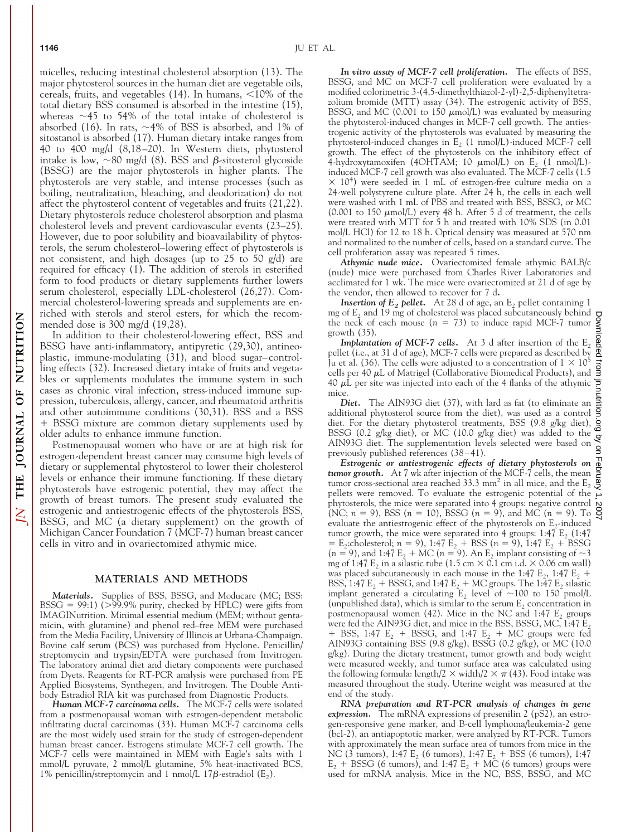THE JOURNAL OF NUTRITION

 $\overline{N}$ 

micelles, reducing intestinal cholesterol absorption (13). The major phytosterol sources in the human diet are vegetable oils, cereals, fruits, and vegetables  $(14)$ . In humans,  $\leq 10\%$  of the total dietary BSS consumed is absorbed in the intestine (15), whereas  $\sim$  45 to 54% of the total intake of cholesterol is absorbed (16). In rats,  $\sim$ 4% of BSS is absorbed, and 1% of sitostanol is absorbed (17). Human dietary intake ranges from 40 to 400 mg/d (8,18–20). In Western diets, phytosterol intake is low,  $\sim$ 80 mg/d (8). BSS and  $\beta$ -sitosterol glycoside (BSSG) are the major phytosterols in higher plants. The phytosterols are very stable, and intense processes (such as boiling, neutralization, bleaching, and deodorization) do not affect the phytosterol content of vegetables and fruits (21,22). Dietary phytosterols reduce cholesterol absorption and plasma cholesterol levels and prevent cardiovascular events (23–25). However, due to poor solubility and bioavailability of phytosterols, the serum cholesterol–lowering effect of phytosterols is not consistent, and high dosages (up to 25 to 50 g/d) are required for efficacy (1). The addition of sterols in esterified form to food products or dietary supplements further lowers serum cholesterol, especially LDL-cholesterol (26,27). Commercial cholesterol-lowering spreads and supplements are enriched with sterols and sterol esters, for which the recommended dose is 300 mg/d (19,28).

In addition to their cholesterol-lowering effect, BSS and BSSG have anti-inflammatory, antipyretic (29,30), antineoplastic, immune-modulating (31), and blood sugar–controlling effects (32). Increased dietary intake of fruits and vegetables or supplements modulates the immune system in such cases as chronic viral infection, stress-induced immune suppression, tuberculosis, allergy, cancer, and rheumatoid arthritis and other autoimmune conditions (30,31). BSS and a BSS BSSG mixture are common dietary supplements used by older adults to enhance immune function.

Postmenopausal women who have or are at high risk for estrogen-dependent breast cancer may consume high levels of dietary or supplemental phytosterol to lower their cholesterol levels or enhance their immune functioning. If these dietary phytosterols have estrogenic potential, they may affect the growth of breast tumors. The present study evaluated the estrogenic and antiestrogenic effects of the phytosterols BSS, BSSG, and MC (a dietary supplement) on the growth of Michigan Cancer Foundation 7 (MCF-7) human breast cancer cells in vitro and in ovariectomized athymic mice.

## **MATERIALS AND METHODS**

*Materials.* Supplies of BSS, BSSG, and Moducare (MC; BSS:  $BSSG = 99:1$ ) (>99.9% purity, checked by HPLC) were gifts from IMAGINutrition. Minimal essential medium (MEM; without gentamicin, with glutamine) and phenol red–free MEM were purchased from the Media Facility, University of Illinois at Urbana-Champaign. Bovine calf serum (BCS) was purchased from Hyclone. Penicillin/ streptomycin and trypsin/EDTA were purchased from Invitrogen. The laboratory animal diet and dietary components were purchased from Dyets. Reagents for RT-PCR analysis were purchased from PE Applied Biosystems, Synthegen, and Invitrogen. The Double Antibody Estradiol RIA kit was purchased from Diagnostic Products.

*Human MCF-7 carcinoma cells.* The MCF-7 cells were isolated from a postmenopausal woman with estrogen-dependent metabolic infiltrating ductal carcinomas (33). Human MCF-7 carcinoma cells are the most widely used strain for the study of estrogen-dependent human breast cancer. Estrogens stimulate MCF-7 cell growth. The MCF-7 cells were maintained in MEM with Eagle's salts with 1 mmol/L pyruvate, 2 mmol/L glutamine, 5% heat-inactivated BCS, 1% penicillin/streptomycin and 1 nmol/L 17 $\beta$ -estradiol (E<sub>2</sub>).

*In vitro assay of MCF-7 cell proliferation.* The effects of BSS, BSSG, and MC on MCF-7 cell proliferation were evaluated by a modified colorimetric 3-(4,5-dimethylthiazol-2-yl)-2,5-diphenyltetrazolium bromide (MTT) assay (34). The estrogenic activity of BSS, BSSG, and MC (0.001 to 150  $\mu$ mol/L) was evaluated by measuring the phytosterol-induced changes in MCF-7 cell growth. The antiestrogenic activity of the phytosterols was evaluated by measuring the phytosterol-induced changes in  $E<sub>2</sub>$  (1 nmol/L)-induced MCF-7 cell growth. The effect of the phytosterols on the inhibitory effect of 4-hydroxytamoxifen (4OHTAM; 10  $\mu$ mol/L) on E<sub>2</sub> (1 nmol/L)induced MCF-7 cell growth was also evaluated. The MCF-7 cells (1.5  $\times$  10<sup>4</sup>) were seeded in 1 mL of estrogen-free culture media on a 24-well polystyrene culture plate. After 24 h, the cells in each well were washed with 1 mL of PBS and treated with BSS, BSSG, or MC (0.001 to 150  $\mu$ mol/L) every 48 h. After 5 d of treatment, the cells were treated with MTT for 5 h and treated with 10% SDS (in 0.01 mol/L HCl) for 12 to 18 h. Optical density was measured at 570 nm and normalized to the number of cells, based on a standard curve. The cell proliferation assay was repeated 5 times.

*Athymic nude mice.* Ovariectomized female athymic BALB/c (nude) mice were purchased from Charles River Laboratories and acclimated for 1 wk. The mice were ovariectomized at 21 d of age by the vendor, then allowed to recover for 7 d**.**

**Insertion of**  $E_2$ *pellet.* At 28 d of age, an  $E_2$  pellet containing 1 mg of  $E_2$  and 19 mg of cholesterol was placed subcutaneously behind mg of  $E_2$  and 19 mg of cholesterol was placed subcutaneously behind the neck of each mouse  $(n = 73)$  to induce rapid MCF-7 tumor growth (35).

**Implantation of MCF-7 cells.** At 3 d after insertion of the  $E_2$ pellet (i.e., at 31 d of age), MCF-7 cells were prepared as described by Ju et al. (36). The cells were adjusted to a concentration of  $1 \times 10^5$ cells per 40  $\mu$ L of Matrigel (Collaborative Biomedical Products), and 40  $\mu$ L per site was injected into each of the 4 flanks of the athymic mice.

*Diet.* The AIN93G diet (37), with lard as fat (to eliminate an additional phytosterol source from the diet), was used as a control diet. For the dietary phytosterol treatments, BSS (9.8 g/kg diet),  $\frac{9}{2}$ <br>BSSC (0.2 g/kg diet), or MC (10.0 g/kg diet), we odded to the BSSG (0.2 g/kg diet), or MC (10.0 g/kg diet) was added to the AIN93G diet. The supplementation levels selected were based on previously published references (38–41).

*Estrogenic or antiestrogenic effects of dietary phytosterols on tumor growth.* At 7 wk after injection of the MCF-7 cells, the mean tumor cross-sectional area reached 33.3 mm<sup>2</sup> in all mice, and the  $E_2$ pellets were removed. To evaluate the estrogenic potential of the phytosterols, the mice were separated into 4 groups: negative control (NC;  $n = 9$ ), BSS ( $n = 10$ ), BSSG ( $n = 9$ ), and MC ( $n = 9$ ). To  $\frac{8}{5}$ evaluate the antiestrogenic effect of the phytosterols on  $E_2$ -induced tumor growth, the mice were separated into 4 groups:  $1:47 \text{ E}$ ,  $(1:47 \text{ E}$  $E_2$ :cholesterol; *n* = 9), 1:47  $E_2$  + BSS (*n* = 9), 1:47  $E_2$  + BSSG  $(n = 9)$ , and 1:47 E<sub>2</sub> + MC ( $n = 9$ ). An E<sub>2</sub> implant consisting of  $\sim$ 3 mg of 1:47  $E_2$  in a silastic tube (1.5 cm  $\times$  0.1 cm i.d.  $\times$  0.06 cm wall) was placed subcutaneously in each mouse in the 1:47  $E_2$ , 1:47  $E_2$  + BSS, 1:47  $E_2$  + BSSG, and 1:47  $E_2$  + MC groups. The 1:47  $E_2$  silastic implant generated a circulating  $E_2$  level of ~100 to 150 pmol/L (unpublished data), which is similar to the serum  $E_2$  concentration in postmenopausal women (42). Mice in the NC and 1:47  $E_2$  groups were fed the AIN93G diet, and mice in the BSS, BSSG, MC, 1:47  $\rm E_{2}$ + BSS, 1:47  $E_2$  + BSSG, and 1:47  $E_2$  + MC groups were fed AIN93G containing BSS (9.8 g/kg), BSSG (0.2 g/kg), or MC (10.0 g/kg). During the dietary treatment, tumor growth and body weight were measured weekly, and tumor surface area was calculated using the following formula: length/2  $\times$  width/2  $\times \pi$  (43). Food intake was measured throughout the study. Uterine weight was measured at the end of the study.

*RNA preparation and RT-PCR analysis of changes in gene expression.* The mRNA expressions of presenilin 2 (pS2), an estrogen-responsive gene marker, and B-cell lymphoma/leukemia-2 gene (bcl-2), an antiapoptotic marker, were analyzed by RT-PCR. Tumors with approximately the mean surface area of tumors from mice in the NC (3 tumors), 1:47 E<sub>2</sub> (6 tumors), 1:47 E<sub>2</sub> + BSS (6 tumors), 1:47  $E_2$  + BSSG (6 tumors), and 1:47  $E_2$  + MC (6 tumors) groups were used for mRNA analysis. Mice in the NC, BSS, BSSG, and MC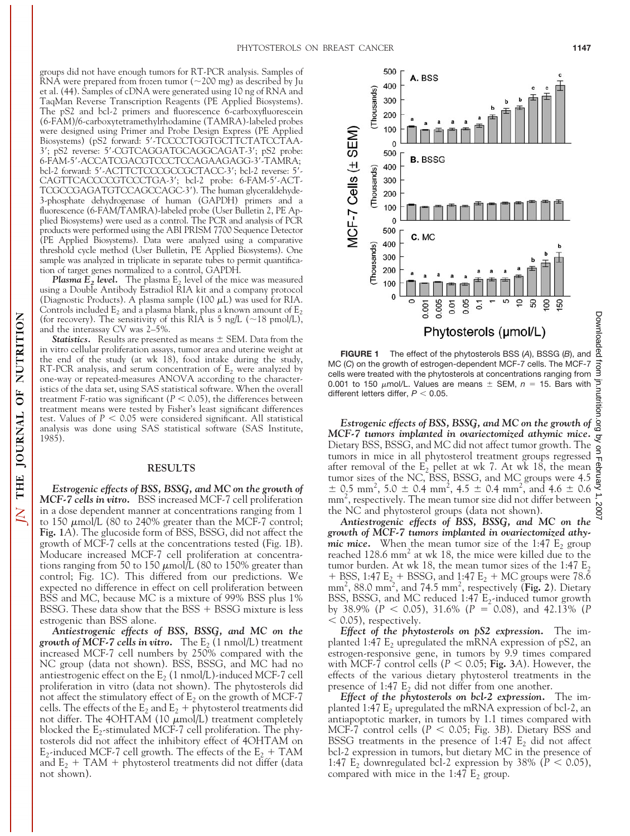groups did not have enough tumors for RT-PCR analysis. Samples of RNA were prepared from frozen tumor  $(\sim 200 \text{ mg})$  as described by Ju et al. (44). Samples of cDNA were generated using 10 ng of RNA and TaqMan Reverse Transcription Reagents (PE Applied Biosystems). The pS2 and bcl-2 primers and fluorescence 6-carboxyfluorescein (6-FAM)/6-carboxytetramethylrhodamine (TAMRA)-labeled probes were designed using Primer and Probe Design Express (PE Applied Biosystems) (pS2 forward: 5'-TCCCCTGGTGCTTCTATCCTAA-3; pS2 reverse: 5-CGTCAGGATGCAGGCAGAT-3; pS2 probe: 6-FAM-5-ACCATCGACGTCCCTCCAGAAGAGG-3-TAMRA; bcl-2 forward: 5'-ACTTCTCCCGCCGCTACC-3'; bcl-2 reverse: 5'-CAGTTCACCCCGTCCCTGA-3'; bcl-2 probe: 6-FAM-5'-ACT-TCGCCGAGATGTCCAGCCAGC-3). The human glyceraldehyde-3-phosphate dehydrogenase of human (GAPDH) primers and a fluorescence (6-FAM/TAMRA)-labeled probe (User Bulletin 2, PE Applied Biosystems) were used as a control. The PCR and analysis of PCR products were performed using the ABI PRISM 7700 Sequence Detector (PE Applied Biosystems). Data were analyzed using a comparative threshold cycle method (User Bulletin, PE Applied Biosystems). One sample was analyzed in triplicate in separate tubes to permit quantification of target genes normalized to a control, GAPDH.

*Plasma*  $E_2$  *level.* The plasma  $E_2$  level of the mice was measured using a Double Antibody Estradiol RIA kit and a company protocol (Diagnostic Products). A plasma sample (100  $\mu$ L) was used for RIA. Controls included  $E_2$  and a plasma blank, plus a known amount of  $E_2$ (for recovery). The sensitivity of this RIA is 5 ng/L ( $\sim$ 18 pmol/L), and the interassay CV was 2–5%.

**Statistics.** Results are presented as means  $\pm$  SEM. Data from the in vitro cellular proliferation assays, tumor area and uterine weight at the end of the study (at wk 18), food intake during the study, RT-PCR analysis, and serum concentration of  $E_2$  were analyzed by one-way or repeated-measures ANOVA according to the characteristics of the data set, using SAS statistical software. When the overall treatment *F*-ratio was significant ( $P < 0.05$ ), the differences between treatment means were tested by Fisher's least significant differences test. Values of  $P < 0.05$  were considered significant. All statistical analysis was done using SAS statistical software (SAS Institute, 1985).

#### **RESULTS**

*Estrogenic effects of BSS, BSSG, and MC on the growth of MCF-7 cells in vitro.* BSS increased MCF-7 cell proliferation in a dose dependent manner at concentrations ranging from 1 to 150  $\mu$ mol/L (80 to 240% greater than the MCF-7 control; **Fig. 1***A*). The glucoside form of BSS, BSSG, did not affect the growth of MCF-7 cells at the concentrations tested (Fig. 1*B*). Moducare increased MCF-7 cell proliferation at concentrations ranging from 50 to 150  $\mu$ mol/L (80 to 150% greater than control; Fig. 1*C*). This differed from our predictions. We expected no difference in effect on cell proliferation between BSS and MC, because MC is a mixture of 99% BSS plus 1% BSSG. These data show that the  $BSS + BSSG$  mixture is less estrogenic than BSS alone.

*Antiestrogenic effects of BSS, BSSG, and MC on the growth of MCF-7 cells in vitro.* The  $E_2$  (1 nmol/L) treatment increased MCF-7 cell numbers by 250% compared with the NC group (data not shown). BSS, BSSG, and MC had no antiestrogenic effect on the  $E_2$  (1 nmol/L)-induced MCF-7 cell proliferation in vitro (data not shown). The phytosterols did not affect the stimulatory effect of  $E_2$  on the growth of MCF-7 cells. The effects of the  $E_2$  and  $E_2$  + phytosterol treatments did not differ. The 4OHTAM (10  $\mu$ mol/L) treatment completely blocked the  $E_2$ -stimulated MCF-7 cell proliferation. The phytosterols did not affect the inhibitory effect of 4OHTAM on E<sub>2</sub>-induced MCF-7 cell growth. The effects of the  $E_2$  + TAM and  $E_2$  + TAM + phytosterol treatments did not differ (data not shown).

Downloaded from jn.nutrition.org **FIGURE 1** The effect of the phytosterols BSS (*A*), BSSG (*B*), and MC (*C*) on the growth of estrogen-dependent MCF-7 cells. The MCF-7 cells were treated with the phytosterols at concentrations ranging from 0.001 to 150  $\mu$ mol/L. Values are means  $\pm$  SEM,  $n =$  15. Bars with different letters differ,  $P < 0.05$ .

by on February 1, 2007 [jn.nutrition.org](http://jn.nutrition.org) Downloaded from *Estrogenic effects of BSS, BSSG, and MC on the growth of MCF-7 tumors implanted in ovariectomized athymic mice.* Q Dietary BSS, BSSG, and MC did not affect tumor growth. The  $\frac{1}{2}$ tumors in mice in all phytosterol treatment groups regressed after removal of the  $E_2$  pellet at wk 7. At wk 18, the mean tumor sizes of the NC, BSS, BSSG, and MC groups were 4.5  $\pm$  0.5 mm<sup>2</sup>, 5.0  $\pm$  0.4 mm<sup>2</sup>, 4.5  $\pm$  0.4 mm<sup>2</sup>, and 4.6  $\pm$  0.6 mm<sup>2</sup>, respectively. The mean tumor size did not differ between the NC and phytosterol groups (data not shown).

*Antiestrogenic effects of BSS, BSSG, and MC on the growth of MCF-7 tumors implanted in ovariectomized athymic mice.* When the mean tumor size of the 1:47  $E_2$  group reached  $128.6$  mm<sup>2</sup> at wk 18, the mice were killed due to the tumor burden. At wk 18, the mean tumor sizes of the 1:47  $E_2$ + BSS, 1:47  $E_2$  + BSSG, and 1:47  $E_2$  + MC groups were 78.6 mm<sup>2</sup>, 88.0 mm<sup>2</sup>, and 74.5 mm<sup>2</sup>, respectively (Fig. 2). Dietary BSS, BSSG, and MC reduced 1:47  $E_2$ -induced tumor growth by 38.9% (*P* 0.05), 31.6% (*P* 0.08), and 42.13% (*P*  $<$  0.05), respectively.

*Effect of the phytosterols on pS2 expression.* The implanted 1:47  $E_2$  upregulated the mRNA expression of pS2, an estrogen-responsive gene, in tumors by 9.9 times compared with MCF-7 control cells ( $P < 0.05$ ; Fig. 3A). However, the effects of the various dietary phytosterol treatments in the presence of 1:47  $E_2$  did not differ from one another.

*Effect of the phytosterols on bcl-2 expression.* The implanted 1:47  $E_2$  upregulated the mRNA expression of bcl-2, an antiapoptotic marker, in tumors by 1.1 times compared with MCF-7 control cells  $(P < 0.05; Fig. 3B)$ . Dietary BSS and BSSG treatments in the presence of 1:47  $E_2$  did not affect bcl-2 expression in tumors, but dietary MC in the presence of 1:47  $E_2$  downregulated bcl-2 expression by 38% ( $P < 0.05$ ), compared with mice in the 1:47  $E_2$  group.

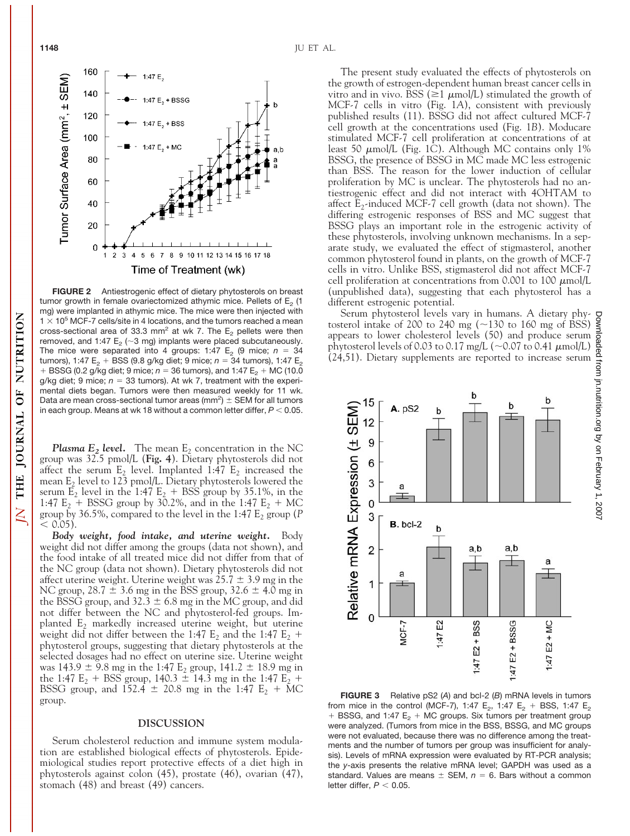**FIGURE 2** Antiestrogenic effect of dietary phytosterols on breast tumor growth in female ovariectomized athymic mice. Pellets of  $E<sub>2</sub>$  (1 mg) were implanted in athymic mice. The mice were then injected with  $1 \times 10^5$  MCF-7 cells/site in 4 locations, and the tumors reached a mean cross-sectional area of 33.3 mm<sup>2</sup> at wk 7. The  $E_2$  pellets were then removed, and 1:47  $E_2$  ( $\sim$ 3 mg) implants were placed subcutaneously. The mice were separated into 4 groups: 1:47  $E_2$  (9 mice;  $n = 34$ tumors), 1:47 E<sub>2</sub> + BSS (9.8 g/kg diet; 9 mice;  $n = 34$  tumors), 1:47 E<sub>2</sub> + BSSG (0.2 g/kg diet; 9 mice;  $n = 36$  tumors), and 1:47 E<sub>2</sub> + MC (10.0 g/kg diet; 9 mice;  $n = 33$  tumors). At wk 7, treatment with the experimental diets began. Tumors were then measured weekly for 11 wk. Data are mean cross-sectional tumor areas (mm<sup>2</sup>)  $\pm$  SEM for all tumors in each group. Means at wk 18 without a common letter differ,  $P < 0.05$ .

**Plasma E<sub>2</sub>** level. The mean  $E_2$  concentration in the NC group was 32.5 pmol/L (**Fig. 4**). Dietary phytosterols did not affect the serum  $E_2$  level. Implanted 1:47  $E_2$  increased the mean  $E_2$  level to 123 pmol/L. Dietary phytosterols lowered the serum  $E_2$  level in the 1:47  $E_2$  + BSS group by 35.1%, in the 1:47  $E_2 + BSSG$  group by 30.2%, and in the 1:47  $E_2 + MC$ group by 36.5%, compared to the level in the 1:47  $E_2$  group (*P*  $< 0.05$ ).

*Body weight, food intake, and uterine weight.* Body weight did not differ among the groups (data not shown), and the food intake of all treated mice did not differ from that of the NC group (data not shown). Dietary phytosterols did not affect uterine weight. Uterine weight was  $25.7 \pm 3.9$  mg in the NC group,  $28.7 \pm 3.6$  mg in the BSS group,  $32.6 \pm 4.0$  mg in the BSSG group, and  $32.3 \pm 6.8$  mg in the MC group, and did not differ between the NC and phytosterol-fed groups. Implanted  $E_2$  markedly increased uterine weight, but uterine weight did not differ between the 1:47  $E_2$  and the 1:47  $E_2$  + phytosterol groups, suggesting that dietary phytosterols at the selected dosages had no effect on uterine size. Uterine weight was  $143.9 \pm 9.8$  mg in the 1:47  $E_2$  group,  $141.2 \pm 18.9$  mg in the 1:47  $E_2$  + BSS group, 140.3  $\pm$  14.3 mg in the 1:47  $E_2$  + BSSG group, and 152.4  $\pm$  20.8 mg in the 1:47 E<sub>2</sub> + MC group.

# **DISCUSSION**

Serum cholesterol reduction and immune system modulation are established biological effects of phytosterols. Epidemiological studies report protective effects of a diet high in phytosterols against colon (45), prostate (46), ovarian (47), stomach (48) and breast (49) cancers.

The present study evaluated the effects of phytosterols on the growth of estrogen-dependent human breast cancer cells in vitro and in vivo. BSS ( $\geq$ 1  $\mu$ mol/L) stimulated the growth of MCF-7 cells in vitro (Fig. 1*A*), consistent with previously published results (11). BSSG did not affect cultured MCF-7 cell growth at the concentrations used (Fig. 1*B*). Moducare stimulated MCF-7 cell proliferation at concentrations of at least 50  $\mu$ mol/L (Fig. 1C). Although MC contains only 1% BSSG, the presence of BSSG in MC made MC less estrogenic than BSS. The reason for the lower induction of cellular proliferation by MC is unclear. The phytosterols had no antiestrogenic effect and did not interact with 4OHTAM to affect  $E_2$ -induced MCF-7 cell growth (data not shown). The differing estrogenic responses of BSS and MC suggest that BSSG plays an important role in the estrogenic activity of these phytosterols, involving unknown mechanisms. In a separate study, we evaluated the effect of stigmasterol, another common phytosterol found in plants, on the growth of MCF-7 cells in vitro. Unlike BSS, stigmasterol did not affect MCF-7 cell proliferation at concentrations from 0.001 to 100  $\mu$ mol/L (unpublished data), suggesting that each phytosterol has a different estrogenic potential.

Serum phytosterol levels vary in humans. A dietary phytosterol intake of 200 to 240 mg  $(\sim 130$  to 160 mg of BSS) appears to lower cholesterol levels (50) and produce serum phytosterol levels of 0.03 to 0.17 mg/L ( $\sim$ 0.07 to 0.41  $\mu$ mol/L) (24,51). Dietary supplements are reported to increase serum

15

 $\overline{0}$ 

3

 $\overline{2}$ 

1

 $\mathbf 0$ 

**A.** pS2

a æ

 $B.$  bcl-2

a

MCF-7

h

b

1:47 E2

a,b

:47 E2 + BSS

Relative mRNA Expression (± SEM)



h

a

 $E2 + MC$ 

1:47

b

a,b

1:47 E2 + BSSG

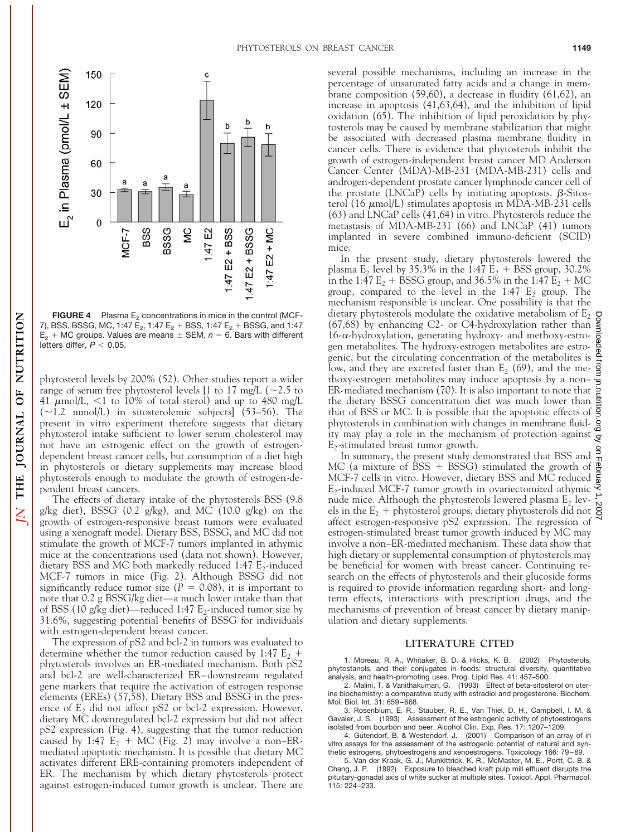

**FIGURE 4** Plasma  $E_2$  concentrations in mice in the control (MCF-7), BSS, BSSG, MC, 1:47  $E_2$ , 1:47  $E_2$  + BSS, 1:47  $E_2$  + BSSG, and 1:47  $E<sub>2</sub> + MC$  groups. Values are means  $\pm$  SEM,  $n = 6$ . Bars with different letters differ,  $P < 0.05$ .

phytosterol levels by 200% (52). Other studies report a wider range of serum free phytosterol levels [1 to 17 mg/L ( $\sim$ 2.5 to 41  $\mu$ mol/L, <1 to 10% of total sterol) and up to 480 mg/L  $(-1.2 \text{ mmol/L})$  in sitosterolemic subjects] (53–56). The present in vitro experiment therefore suggests that dietary phytosterol intake sufficient to lower serum cholesterol may not have an estrogenic effect on the growth of estrogendependent breast cancer cells, but consumption of a diet high in phytosterols or dietary supplements may increase blood phytosterols enough to modulate the growth of estrogen-dependent breast cancers.

THE JOURNAL OF NUTRITION

 $\overline{\mathsf{X}}$ 

The effects of dietary intake of the phytosterols BSS (9.8 g/kg diet), BSSG (0.2 g/kg), and MC (10.0 g/kg) on the growth of estrogen-responsive breast tumors were evaluated using a xenograft model. Dietary BSS, BSSG, and MC did not stimulate the growth of MCF-7 tumors implanted in athymic mice at the concentrations used (data not shown). However, dietary BSS and MC both markedly reduced 1:47  $E_2$ -induced MCF-7 tumors in mice (Fig. 2). Although BSSG did not significantly reduce tumor size ( $P = 0.08$ ), it is important to note that 0.2 g BSSG/kg diet—a much lower intake than that of BSS (10 g/kg diet)—reduced 1:47  $E_2$ -induced tumor size by 31.6%, suggesting potential benefits of BSSG for individuals with estrogen-dependent breast cancer.

The expression of pS2 and bcl-2 in tumors was evaluated to determine whether the tumor reduction caused by 1:47  $E_2$  + phytosterols involves an ER-mediated mechanism. Both pS2 and bcl-2 are well-characterized ER–downstream regulated gene markers that require the activation of estrogen response elements (EREs) (57,58). Dietary BSS and BSSG in the presence of  $E_2$  did not affect pS2 or bcl-2 expression. However, dietary MC downregulated bcl-2 expression but did not affect pS2 expression (Fig. 4), suggesting that the tumor reduction caused by 1:47  $E_2$  + MC (Fig. 2) may involve a non–ERmediated apoptotic mechanism. It is possible that dietary MC activates different ERE-containing promoters independent of ER. The mechanism by which dietary phytosterols protect against estrogen-induced tumor growth is unclear. There are

several possible mechanisms, including an increase in the percentage of unsaturated fatty acids and a change in membrane composition (59,60), a decrease in fluidity (61,62), an increase in apoptosis (41,63,64), and the inhibition of lipid oxidation (65). The inhibition of lipid peroxidation by phytosterols may be caused by membrane stabilization that might be associated with decreased plasma membrane fluidity in cancer cells. There is evidence that phytosterols inhibit the growth of estrogen-independent breast cancer MD Anderson Cancer Center (MDA)-MB-231 (MDA-MB-231) cells and androgen-dependent prostate cancer lymphnode cancer cell of the prostate (LNCaP) cells by initiating apoptosis.  $\beta$ -Sitosterol (16  $\mu$ mol/L) stimulates apoptosis in MDA-MB-231 cells (63) and LNCaP cells (41,64) in vitro. Phytosterols reduce the metastasis of MDA-MB-231 (66) and LNCaP (41) tumors implanted in severe combined immuno-deficient (SCID) mice.

In the present study, dietary phytosterols lowered the plasma  $E_2$  level by 35.3% in the 1:47  $E_2$  + BSS group, 30.2% in the 1:47  $E_2$  + BSSG group, and 36.5% in the 1:47  $E_2$  + MC group, compared to the level in the 1:47  $E_2$  group. The mechanism responsible is unclear. One possibility is that the dietary phytosterols modulate the oxidative metabolism of  $E_2$ (67,68) by enhancing C2- or C4-hydroxylation rather than  $16-\alpha$ -hydroxylation, generating hydroxy- and methoxy-estrogen metabolites. The hydroxy-estrogen metabolites are estrogenic, but the circulating concentration of the metabolites is low, and they are excreted faster than  $E_2$  (69), and the methoxy-estrogen metabolites may induce apoptosis by a non– ER-mediated mechanism (70). It is also important to note that the dietary BSSG concentration diet was much lower than that of BSS or MC. It is possible that the apoptotic effects of phytosterols in combination with changes in membrane fluidity may play a role in the mechanism of protection against  $E_2$ -stimulated breast tumor growth.

In summary, the present study demonstrated that BSS and MC (a mixture of BSS + BSSG) stimulated the growth of MCF-7 cells in vitro. However, dietary BSS and MC reduced  $E_2$ -induced MCF-7 tumor growth in ovariectomized athymic nude mice. Although the phytosterols lowered plasma  $E_2$  levels in the  $E_2$  + phytosterol groups, dietary phytosterols did not  $\frac{8}{5}$ affect estrogen-responsive pS2 expression. The regression of estrogen-stimulated breast tumor growth induced by MC may involve a non–ER-mediated mechanism. These data show that high dietary or supplemental consumption of phytosterols may be beneficial for women with breast cancer. Continuing research on the effects of phytosterols and their glucoside forms is required to provide information regarding short- and longterm effects, interactions with prescription drugs, and the mechanisms of prevention of breast cancer by dietary manipulation and dietary supplements.

## **LITERATURE CITED**

1. Moreau, R. A., Whitaker, B. D. & Hicks, K. B. (2002) Phytosterols, phytostanols, and their conjugates in foods: structural diversity, quantitative analysis, and health-promoting uses. Prog. Lipid Res. 41: 457–500.

2. Malini, T. & Vanithakumari, G. (1993) Effect of beta-sitosterol on uterine biochemistry: a comparative study with estradiol and progesterone. Biochem. Mol. Biol. Int. 31: 659–668.

3. Rosenblum, E. R., Stauber, R. E., Van Thiel, D. H., Campbell, I. M. & Gavaler, J. S. (1993) Assessment of the estrogenic activity of phytoestrogens isolated from bourbon and beer. Alcohol Clin. Exp. Res. 17: 1207–1209.

4. Gutendorf, B. & Westendorf, J. (2001) Comparison of an array of in vitro assays for the assessment of the estrogenic potential of natural and synthetic estrogens, phytoestrogens and xenoestrogens. Toxicology 166: 79–89.

5. Van der Kraak, G. J., Munkittrick, K. R., McMaster, M. E., Portt, C. B. & Chang, J. P. (1992) Exposure to bleached kraft pulp mill effluent disrupts the pituitary-gonadal axis of white sucker at multiple sites. Toxicol. Appl. Pharmacol. 115: 224–233.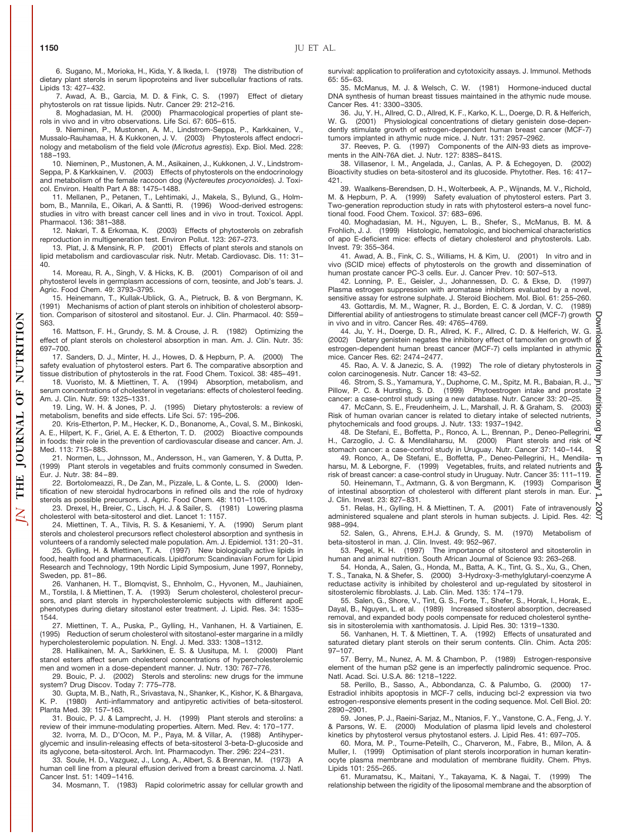6. Sugano, M., Morioka, H., Kida, Y. & Ikeda, I. (1978) The distribution of dietary plant sterols in serum lipoproteins and liver subcellular fractions of rats. Lipids 13: 427–432.

7. Awad, A. B., Garcia, M. D. & Fink, C. S. (1997) Effect of dietary phytosterols on rat tissue lipids. Nutr. Cancer 29: 212–216.

8. Moghadasian, M. H. (2000) Pharmacological properties of plant sterols in vivo and in vitro observations. Life Sci. 67: 605–615.

9. Nieminen, P., Mustonen, A. M., Lindstrom-Seppa, P., Karkkainen, V., Mussalo-Rauhamaa, H. & Kukkonen, J. V. (2003) Phytosterols affect endocrinology and metabolism of the field vole (*Microtus agrestis*). Exp. Biol. Med. 228: 188–193.

10. Nieminen, P., Mustonen, A. M., Asikainen, J., Kukkonen, J. V., Lindstrom-Seppa, P. & Karkkainen, V. (2003) Effects of phytosterols on the endocrinology and metabolism of the female raccoon dog (*Nyctereutes procyonoides*). J. Toxicol. Environ. Health Part A 88: 1475–1488.

11. Mellanen, P., Petanen, T., Lehtimaki, J., Makela, S., Bylund, G., Holmbom, B., Mannila, E., Oikari, A. & Santti, R. (1996) Wood-derived estrogens: studies in vitro with breast cancer cell lines and in vivo in trout. Toxicol. Appl. Pharmacol. 136: 381–388.

12. Nakari, T. & Erkomaa, K. (2003) Effects of phytosterols on zebrafish reproduction in multigeneration test. Environ Pollut. 123: 267–273.

13. Plat, J. & Mensink, R. P. (2001) Effects of plant sterols and stanols on lipid metabolism and cardiovascular risk. Nutr. Metab. Cardiovasc. Dis. 11: 31– 40.

14. Moreau, R. A., Singh, V. & Hicks, K. B. (2001) Comparison of oil and phytosterol levels in germplasm accessions of corn, teosinte, and Job's tears. J. Agric. Food Chem. 49: 3793–3795.

15. Heinemann, T., Kullak-Ublick, G. A., Pietruck, B. & von Bergmann, K. (1991) Mechanisms of action of plant sterols on inhibition of cholesterol absorption. Comparison of sitosterol and sitostanol. Eur. J. Clin. Pharmacol. 40: S59– S63.

16. Mattson, F. H., Grundy, S. M. & Crouse, J. R. (1982) Optimizing the effect of plant sterols on cholesterol absorption in man. Am. J. Clin. Nutr. 35: 697–700.

17. Sanders, D. J., Minter, H. J., Howes, D. & Hepburn, P. A. (2000) The safety evaluation of phytosterol esters. Part 6. The comparative absorption and tissue distribution of phytosterols in the rat. Food Chem. Toxicol. 38: 485–491.

18. Vuoristo, M. & Miettinen, T. A. (1994) Absorption, metabolism, and serum concentrations of cholesterol in vegetarians: effects of cholesterol feeding. Am. J. Clin. Nutr. 59: 1325–1331.

19. Ling, W. H. & Jones, P. J. (1995) Dietary phytosterols: a review of metabolism, benefits and side effects. Life Sci. 57: 195–206.

20. Kris-Etherton, P. M., Hecker, K. D., Bonanome, A., Coval, S. M., Binkoski, A. E., Hilpert, K. F., Griel, A. E. & Etherton, T. D. (2002) Bioactive compounds in foods: their role in the prevention of cardiovascular disease and cancer. Am. J. Med. 113: 71S–88S.

21. Normen, L., Johnsson, M., Andersson, H., van Gameren, Y. & Dutta, P. (1999) Plant sterols in vegetables and fruits commonly consumed in Sweden. Eur. J. Nutr. 38: 84–89.

22. Bortolomeazzi, R., De Zan, M., Pizzale, L. & Conte, L. S. (2000) Identification of new steroidal hydrocarbons in refined oils and the role of hydroxy sterols as possible precursors. J. Agric. Food Chem. 48: 1101–1105.

23. Drexel, H., Breier, C., Lisch, H. J. & Sailer, S. (1981) Lowering plasma cholesterol with beta-sitosterol and diet. Lancet 1: 1157.

24. Miettinen, T. A., Tilvis, R. S. & Kesaniemi, Y. A. (1990) Serum plant sterols and cholesterol precursors reflect cholesterol absorption and synthesis in volunteers of a randomly selected male population. Am. J. Epidemiol. 131: 20–31.

25. Gylling, H. & Miettinen, T. A. (1997) New biologically active lipids in food, health food and pharmaceuticals. Lipidforum: Scandinavian Forum for Lipid Research and Technology, 19th Nordic Lipid Symposium, June 1997, Ronneby, Sweden, pp. 81–86.

26. Vanhanen, H. T., Blomqvist, S., Ehnholm, C., Hyvonen, M., Jauhiainen, M., Torstila, I. & Miettinen, T. A. (1993) Serum cholesterol, cholesterol precursors, and plant sterols in hypercholesterolemic subjects with different apoE phenotypes during dietary sitostanol ester treatment. J. Lipid. Res. 34: 1535– 1544.

27. Miettinen, T. A., Puska, P., Gylling, H., Vanhanen, H. & Vartiainen, E. (1995) Reduction of serum cholesterol with sitostanol-ester margarine in a mildly hypercholesterolemic population. N. Engl. J. Med. 333: 1308–1312.

28. Hallikainen, M. A., Sarkkinen, E. S. & Uusitupa, M. I. (2000) Plant stanol esters affect serum cholesterol concentrations of hypercholesterolemic men and women in a dose-dependent manner. J. Nutr. 130: 767–776.

29. Bouic, P. J. (2002) Sterols and sterolins: new drugs for the immune system? Drug Discov. Today 7: 775–778.

30. Gupta, M. B., Nath, R., Srivastava, N., Shanker, K., Kishor, K. & Bhargava, K. P. (1980) Anti-inflammatory and antipyretic activities of beta-sitosterol. Planta Med. 39: 157–163.

31. Bouic, P. J. & Lamprecht, J. H. (1999) Plant sterols and sterolins: a review of their immune-modulating properties. Altern. Med. Rev. 4: 170–177.

32. Ivorra, M. D., D'Ocon, M. P., Paya, M. & Villar, A. (1988) Antihyperglycemic and insulin-releasing effects of beta-sitosterol 3-beta-D-glucoside and its aglycone, beta-sitosterol. Arch. Int. Pharmacodyn. Ther. 296: 224–231.

33. Soule, H. D., Vazguez, J., Long, A., Albert, S. & Brennan, M. (1973) A human cell line from a pleural effusion derived from a breast carcinoma. J. Natl. Cancer Inst. 51: 1409–1416.

34. Mosmann, T. (1983) Rapid colorimetric assay for cellular growth and

survival: application to proliferation and cytotoxicity assays. J. Immunol. Methods 65: 55–63.

35. McManus, M. J. & Welsch, C. W. (1981) Hormone-induced ductal DNA synthesis of human breast tissues maintained in the athymic nude mouse. Cancer Res. 41: 3300–3305.

36. Ju, Y. H., Allred, C. D., Allred, K. F., Karko, K. L., Doerge, D. R. & Helferich, W. G. (2001) Physiological concentrations of dietary genistein dose-dependently stimulate growth of estrogen-dependent human breast cancer (MCF-7) tumors implanted in athymic nude mice. J. Nutr. 131: 2957–2962.

37. Reeves, P. G. (1997) Components of the AIN-93 diets as improvements in the AIN-76A diet. J. Nutr. 127: 838S–841S.

38. Villasenor, I. M., Angelada, J., Canlas, A. P. & Echegoyen, D. (2002) Bioactivity studies on beta-sitosterol and its glucoside. Phytother. Res. 16: 417– 421.

39. Waalkens-Berendsen, D. H., Wolterbeek, A. P., Wijnands, M. V., Richold, M. & Hepburn, P. A. (1999) Safety evaluation of phytosterol esters. Part 3. Two-generation reproduction study in rats with phytosterol esters–a novel functional food. Food Chem. Toxicol. 37: 683–696.

40. Moghadasian, M. H., Nguyen, L. B., Shefer, S., McManus, B. M. & Frohlich, J. J. (1999) Histologic, hematologic, and biochemical characteristics of apo E-deficient mice: effects of dietary cholesterol and phytosterols. Lab. Invest. 79: 355–364.

41. Awad, A. B., Fink, C. S., Williams, H. & Kim, U. (2001) In vitro and in vivo (SCID mice) effects of phytosterols on the growth and dissemination of human prostate cancer PC-3 cells. Eur. J. Cancer Prev. 10: 507–513.

42. Lonning, P. E., Geisler, J., Johannessen, D. C. & Ekse, D. Plasma estrogen suppression with aromatase inhibitors evaluated by a novel, sensitive assay for estrone sulphate. J. Steroid Biochem. Mol. Biol. 61: 255–260.

43. Gottardis, M. M., Wagner, R. J., Borden, E. C. & Jordan, V. C. (1989) Frace concurse, and mission concurse to stimulate breast cancer cell (MCF-7) growth  $\overline{C}$ <br>in vivo and in vitro. Cancer Res. 49: 4765–4769. in vivo and in vitro. Cancer Res. 49: 4765–4769.

44. Ju, Y. H., Doerge, D. R., Allred, K. F., Allred, C. D. & Helferich, W. G. (2002) Dietary genistein negates the inhibitory effect of tamoxifen on growth of estrogen-dependent human breast cancer (MCF-7) cells implanted in athymic mice. Cancer Res. 62: 2474–2477.

45. Rao, A. V. & Janezic, S. A. (1992) The role of dietary phytosterols in colon carcinogenesis. Nutr. Cancer 18: 43–52.

46. Strom, S. S., Yamamura, Y., Duphorne, C. M., Spitz, M. R., Babaian, R. J., Pillow, P. C. & Hursting, S. D. (1999) Phytoestrogen intake and prostate cancer: a case-control study using a new database. Nutr. Cancer 33: 20–25.

47. McCann, S. E., Freudenheim, J. L., Marshall, J. R. & Graham, S. (2003) Risk of human ovarian cancer is related to dietary intake of selected nutrients, phytochemicals and food groups. J. Nutr. 133: 1937–1942.

48. De Stefani, E., Boffetta, P., Ronco, A. L., Brennan, P., Deneo-Pellegrini, H., Carzoglio, J. C. & Mendilaharsu, M. (2000) Plant sterols and risk of stomach cancer: a case-control study in Uruguay. Nutr. Cancer 37: 140–144.

49. Ronco, A., De Stefani, E., Boffetta, P., Deneo-Pellegrini, H., Mendilaharsu, M. & Leborgne, F. (1999) Vegetables, fruits, and related nutrients and

risk of breast cancer: a case-control study in Uruguay. Nutr. Cancer 35: 111–119. 50. Heinemann, T., Axtmann, G. & von Bergmann, K. (1993) Comparison of intestinal absorption of cholesterol with different plant sterols in man. Eur. J. Clin. Invest. 23: 827–831.

51. Relas, H., Gylling, H. & Miettinen, T. A. (2001) Fate of intravenously administered squalene and plant sterols in human subjects. J. Lipid. Res. 42: 988–994.

52. Salen, G., Ahrens, E.H.J. & Grundy, S. M. (1970) Metabolism of beta-sitosterol in man. J. Clin. Invest. 49: 952–967.

53. Pegel, K. H. (1997) The importance of sitosterol and sitosterolin in human and animal nutrition. South African Journal of Science 93: 263–268.

54. Honda, A., Salen, G., Honda, M., Batta, A. K., Tint, G. S., Xu, G., Chen, T. S., Tanaka, N. & Shefer, S. (2000) 3-Hydroxy-3-methylglutaryl-coenzyme A reductase activity is inhibited by cholesterol and up-regulated by sitosterol in sitosterolemic fibroblasts. J. Lab. Clin. Med. 135: 174–179.

55. Salen, G., Shore, V., Tint, G. S., Forte, T., Shefer, S., Horak, I., Horak, E., Dayal, B., Nguyen, L. et al. (1989) Increased sitosterol absorption, decreased removal, and expanded body pools compensate for reduced cholesterol synthesis in sitosterolemia with xanthomatosis. J. Lipid Res. 30: 1319–1330.

56. Vanhanen, H. T. & Miettinen, T. A. (1992) Effects of unsaturated and saturated dietary plant sterols on their serum contents. Clin. Chim. Acta 205: 97–107.

57. Berry, M., Nunez, A. M. & Chambon, P. (1989) Estrogen-responsive element of the human pS2 gene is an imperfectly palindromic sequence. Proc. Natl. Acad. Sci. U.S.A. 86: 1218–1222.

58. Perillo, B., Sasso, A., Abbondanza, C. & Palumbo, G. (2000) 17- Estradiol inhibits apoptosis in MCF-7 cells, inducing bcl-2 expression via two estrogen-responsive elements present in the coding sequence. Mol. Cell Biol. 20: 2890–2901.

59. Jones, P. J., Raeini-Sarjaz, M., Ntanios, F. Y., Vanstone, C. A., Feng, J. Y. & Parsons, W. E. (2000) Modulation of plasma lipid levels and cholesterol kinetics by phytosterol versus phytostanol esters. J. Lipid Res. 41: 697–705.

60. Mora, M. P., Tourne-Peteilh, C., Charveron, M., Fabre, B., Milon, A. & Muller, I. (1999) Optimisation of plant sterols incorporation in human keratinocyte plasma membrane and modulation of membrane fluidity. Chem. Phys. Lipids 101: 255–265.

61. Muramatsu, K., Maitani, Y., Takayama, K. & Nagai, T. (1999) The relationship between the rigidity of the liposomal membrane and the absorption of

NUTRITION

 $\overline{0}$ 

**JOURNAL** 

**THE** 

 $\overline{N}$